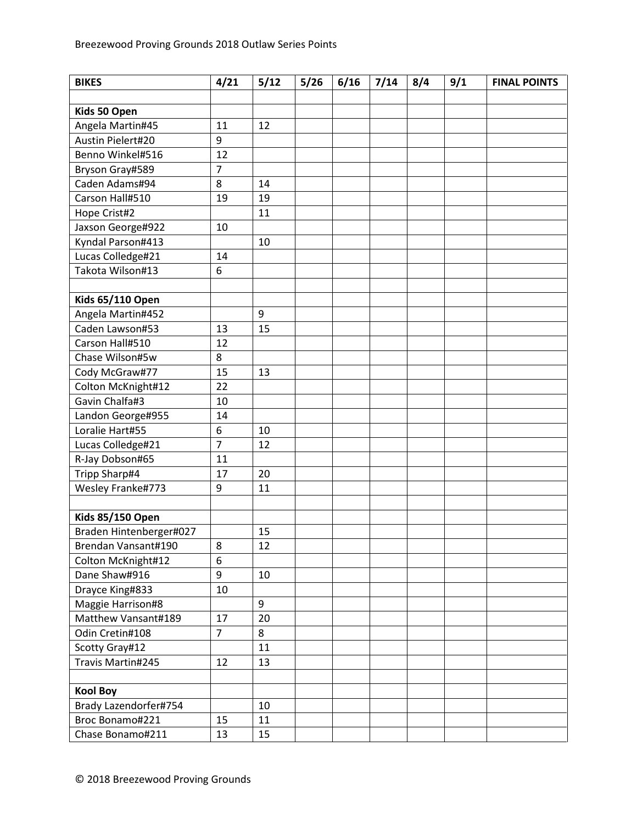| <b>BIKES</b>            | 4/21           | 5/12 | 5/26 | 6/16 | 7/14 | 8/4 | 9/1 | <b>FINAL POINTS</b> |
|-------------------------|----------------|------|------|------|------|-----|-----|---------------------|
|                         |                |      |      |      |      |     |     |                     |
| Kids 50 Open            |                |      |      |      |      |     |     |                     |
| Angela Martin#45        | 11             | 12   |      |      |      |     |     |                     |
| Austin Pielert#20       | 9              |      |      |      |      |     |     |                     |
| Benno Winkel#516        | 12             |      |      |      |      |     |     |                     |
| Bryson Gray#589         | $\overline{7}$ |      |      |      |      |     |     |                     |
| Caden Adams#94          | 8              | 14   |      |      |      |     |     |                     |
| Carson Hall#510         | 19             | 19   |      |      |      |     |     |                     |
| Hope Crist#2            |                | 11   |      |      |      |     |     |                     |
| Jaxson George#922       | 10             |      |      |      |      |     |     |                     |
| Kyndal Parson#413       |                | 10   |      |      |      |     |     |                     |
| Lucas Colledge#21       | 14             |      |      |      |      |     |     |                     |
| Takota Wilson#13        | 6              |      |      |      |      |     |     |                     |
|                         |                |      |      |      |      |     |     |                     |
| <b>Kids 65/110 Open</b> |                |      |      |      |      |     |     |                     |
| Angela Martin#452       |                | 9    |      |      |      |     |     |                     |
| Caden Lawson#53         | 13             | 15   |      |      |      |     |     |                     |
| Carson Hall#510         | 12             |      |      |      |      |     |     |                     |
| Chase Wilson#5w         | 8              |      |      |      |      |     |     |                     |
| Cody McGraw#77          | 15             | 13   |      |      |      |     |     |                     |
| Colton McKnight#12      | 22             |      |      |      |      |     |     |                     |
| Gavin Chalfa#3          | 10             |      |      |      |      |     |     |                     |
| Landon George#955       | 14             |      |      |      |      |     |     |                     |
| Loralie Hart#55         | 6              | 10   |      |      |      |     |     |                     |
| Lucas Colledge#21       | $\overline{7}$ | 12   |      |      |      |     |     |                     |
| R-Jay Dobson#65         | 11             |      |      |      |      |     |     |                     |
| Tripp Sharp#4           | 17             | 20   |      |      |      |     |     |                     |
| Wesley Franke#773       | 9              | 11   |      |      |      |     |     |                     |
|                         |                |      |      |      |      |     |     |                     |
| <b>Kids 85/150 Open</b> |                |      |      |      |      |     |     |                     |
| Braden Hintenberger#027 |                | 15   |      |      |      |     |     |                     |
| Brendan Vansant#190     | 8              | 12   |      |      |      |     |     |                     |
| Colton McKnight#12      | 6              |      |      |      |      |     |     |                     |
| Dane Shaw#916           | 9              | 10   |      |      |      |     |     |                     |
| Drayce King#833         | 10             |      |      |      |      |     |     |                     |
| Maggie Harrison#8       |                | 9    |      |      |      |     |     |                     |
| Matthew Vansant#189     | 17             | 20   |      |      |      |     |     |                     |
| Odin Cretin#108         | $\overline{7}$ | 8    |      |      |      |     |     |                     |
| Scotty Gray#12          |                | 11   |      |      |      |     |     |                     |
| Travis Martin#245       | 12             | 13   |      |      |      |     |     |                     |
|                         |                |      |      |      |      |     |     |                     |
| <b>Kool Boy</b>         |                |      |      |      |      |     |     |                     |
| Brady Lazendorfer#754   |                | 10   |      |      |      |     |     |                     |
| Broc Bonamo#221         | 15             | 11   |      |      |      |     |     |                     |
| Chase Bonamo#211        | 13             | 15   |      |      |      |     |     |                     |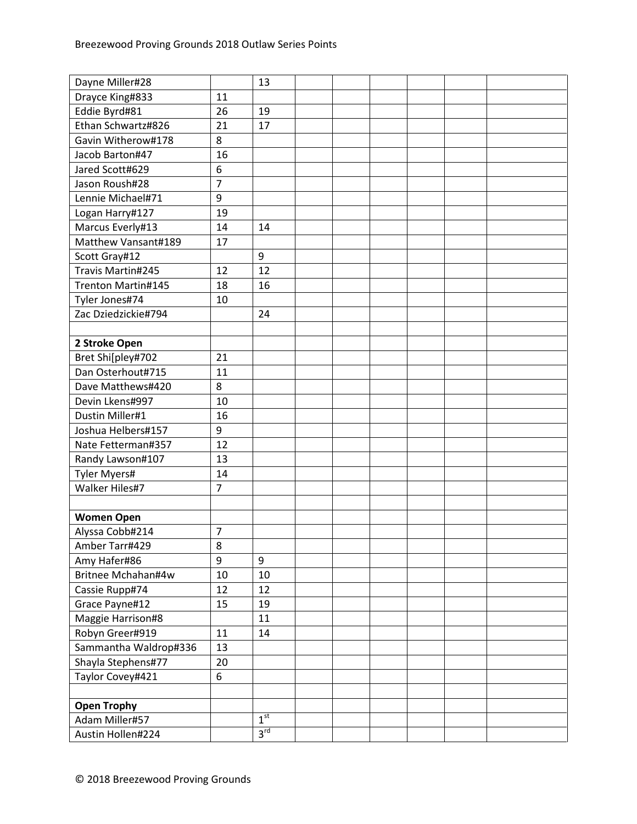| Dayne Miller#28       |                | 13              |  |  |  |
|-----------------------|----------------|-----------------|--|--|--|
| Drayce King#833       | 11             |                 |  |  |  |
| Eddie Byrd#81         | 26             | 19              |  |  |  |
| Ethan Schwartz#826    | 21             | 17              |  |  |  |
| Gavin Witherow#178    | 8              |                 |  |  |  |
| Jacob Barton#47       | 16             |                 |  |  |  |
| Jared Scott#629       | 6              |                 |  |  |  |
| Jason Roush#28        | $\overline{7}$ |                 |  |  |  |
| Lennie Michael#71     | 9              |                 |  |  |  |
| Logan Harry#127       | 19             |                 |  |  |  |
| Marcus Everly#13      | 14             | 14              |  |  |  |
| Matthew Vansant#189   | 17             |                 |  |  |  |
| Scott Gray#12         |                | 9               |  |  |  |
| Travis Martin#245     | 12             | 12              |  |  |  |
| Trenton Martin#145    | 18             | 16              |  |  |  |
| Tyler Jones#74        | 10             |                 |  |  |  |
| Zac Dziedzickie#794   |                | 24              |  |  |  |
|                       |                |                 |  |  |  |
| 2 Stroke Open         |                |                 |  |  |  |
| Bret Shi[pley#702     | 21             |                 |  |  |  |
| Dan Osterhout#715     | 11             |                 |  |  |  |
| Dave Matthews#420     | 8              |                 |  |  |  |
| Devin Lkens#997       | 10             |                 |  |  |  |
| Dustin Miller#1       | 16             |                 |  |  |  |
| Joshua Helbers#157    | 9              |                 |  |  |  |
| Nate Fetterman#357    | 12             |                 |  |  |  |
| Randy Lawson#107      | 13             |                 |  |  |  |
| <b>Tyler Myers#</b>   | 14             |                 |  |  |  |
| Walker Hiles#7        | $\overline{7}$ |                 |  |  |  |
|                       |                |                 |  |  |  |
| <b>Women Open</b>     |                |                 |  |  |  |
| Alyssa Cobb#214       | $\overline{7}$ |                 |  |  |  |
| Amber Tarr#429        | 8              |                 |  |  |  |
| Amy Hafer#86          | 9              | 9               |  |  |  |
| Britnee Mchahan#4w    | 10             | 10              |  |  |  |
| Cassie Rupp#74        | 12             | 12              |  |  |  |
| Grace Payne#12        | 15             | 19              |  |  |  |
| Maggie Harrison#8     |                | 11              |  |  |  |
| Robyn Greer#919       | 11             | 14              |  |  |  |
| Sammantha Waldrop#336 | 13             |                 |  |  |  |
| Shayla Stephens#77    | 20             |                 |  |  |  |
| Taylor Covey#421      | 6              |                 |  |  |  |
|                       |                |                 |  |  |  |
| <b>Open Trophy</b>    |                |                 |  |  |  |
| Adam Miller#57        |                | 1 <sup>st</sup> |  |  |  |
| Austin Hollen#224     |                | 3 <sup>rd</sup> |  |  |  |
|                       |                |                 |  |  |  |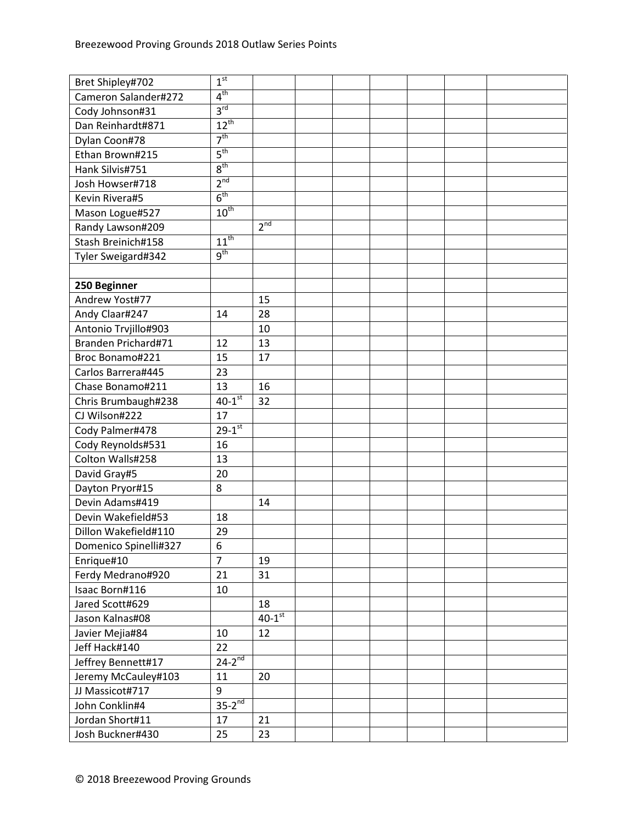| Bret Shipley#702      | 1 <sup>st</sup>          |                      |  |  |  |
|-----------------------|--------------------------|----------------------|--|--|--|
| Cameron Salander#272  | 4 <sup>th</sup>          |                      |  |  |  |
| Cody Johnson#31       | 3 <sup>rd</sup>          |                      |  |  |  |
| Dan Reinhardt#871     | $12^{th}$                |                      |  |  |  |
| Dylan Coon#78         | 7 <sup>th</sup>          |                      |  |  |  |
| Ethan Brown#215       | $5^{\text{th}}$          |                      |  |  |  |
| Hank Silvis#751       | 8 <sup>th</sup>          |                      |  |  |  |
| Josh Howser#718       | 2 <sup>nd</sup>          |                      |  |  |  |
| Kevin Rivera#5        | 6 <sup>th</sup>          |                      |  |  |  |
| Mason Logue#527       | $10^{th}$                |                      |  |  |  |
| Randy Lawson#209      |                          | 2 <sup>nd</sup>      |  |  |  |
| Stash Breinich#158    | $11^{th}$                |                      |  |  |  |
| Tyler Sweigard#342    | 9 <sup>th</sup>          |                      |  |  |  |
|                       |                          |                      |  |  |  |
| 250 Beginner          |                          |                      |  |  |  |
| Andrew Yost#77        |                          | 15                   |  |  |  |
| Andy Claar#247        | 14                       | 28                   |  |  |  |
| Antonio Trvjillo#903  |                          | 10                   |  |  |  |
| Branden Prichard#71   | 12                       | 13                   |  |  |  |
| Broc Bonamo#221       | 15                       | 17                   |  |  |  |
| Carlos Barrera#445    | 23                       |                      |  |  |  |
| Chase Bonamo#211      | 13                       | 16                   |  |  |  |
| Chris Brumbaugh#238   | $40-1$ <sup>st</sup>     | 32                   |  |  |  |
| CJ Wilson#222         | 17                       |                      |  |  |  |
| Cody Palmer#478       | $29 - 1$ <sup>st</sup>   |                      |  |  |  |
| Cody Reynolds#531     | 16                       |                      |  |  |  |
| Colton Walls#258      | 13                       |                      |  |  |  |
| David Gray#5          | 20                       |                      |  |  |  |
| Dayton Pryor#15       | 8                        |                      |  |  |  |
| Devin Adams#419       |                          | 14                   |  |  |  |
| Devin Wakefield#53    | 18                       |                      |  |  |  |
| Dillon Wakefield#110  | 29                       |                      |  |  |  |
| Domenico Spinelli#327 | 6                        |                      |  |  |  |
| Enrique#10            | $\overline{7}$           | 19                   |  |  |  |
| Ferdy Medrano#920     | 21                       | 31                   |  |  |  |
| Isaac Born#116        | 10                       |                      |  |  |  |
| Jared Scott#629       |                          | 18                   |  |  |  |
| Jason Kalnas#08       |                          | $40-1$ <sup>st</sup> |  |  |  |
| Javier Mejia#84       | 10                       | 12                   |  |  |  |
| Jeff Hack#140         | 22                       |                      |  |  |  |
| Jeffrey Bennett#17    | $24 - 2^{\overline{nd}}$ |                      |  |  |  |
| Jeremy McCauley#103   | 11                       | 20                   |  |  |  |
| JJ Massicot#717       | 9                        |                      |  |  |  |
| John Conklin#4        | $35-2^{nd}$              |                      |  |  |  |
| Jordan Short#11       | 17                       | 21                   |  |  |  |
|                       | 25                       | 23                   |  |  |  |
| Josh Buckner#430      |                          |                      |  |  |  |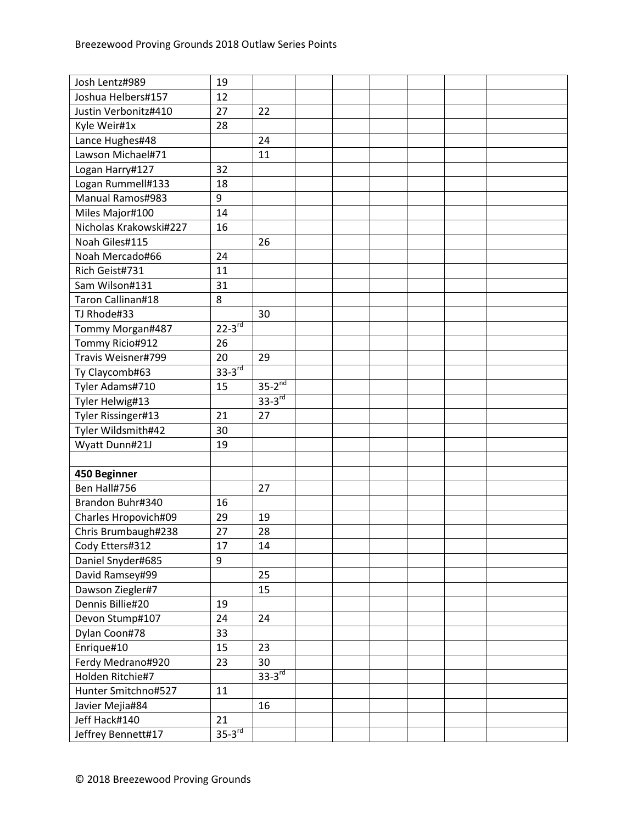| Joshua Helbers#157<br>12<br>Justin Verbonitz#410<br>27<br>22<br>Kyle Weir#1x<br>28<br>Lance Hughes#48<br>24<br>Lawson Michael#71<br>11<br>Logan Harry#127<br>32<br>Logan Rummell#133<br>18<br>Manual Ramos#983<br>9<br>Miles Major#100<br>14<br>Nicholas Krakowski#227<br>16<br>Noah Giles#115<br>26<br>Noah Mercado#66<br>24<br>Rich Geist#731<br>11<br>31<br>Sam Wilson#131<br>Taron Callinan#18<br>8<br>TJ Rhode#33<br>30<br>$22 - 3$ rd<br>Tommy Morgan#487<br>Tommy Ricio#912<br>26<br>Travis Weisner#799<br>20<br>29<br>$33-3rd$<br>Ty Claycomb#63<br>$35-2^{nd}$<br>Tyler Adams#710<br>15<br>$33-3$ <sup>rd</sup><br>Tyler Helwig#13<br>Tyler Rissinger#13<br>27<br>21<br>Tyler Wildsmith#42<br>30<br>Wyatt Dunn#21J<br>19<br>450 Beginner<br>Ben Hall#756<br>27<br>Brandon Buhr#340<br>16<br>29<br>19<br>Charles Hropovich#09<br>Chris Brumbaugh#238<br>27<br>28<br>Cody Etters#312<br>17<br>14<br>9<br>Daniel Snyder#685<br>David Ramsey#99<br>25<br>Dawson Ziegler#7<br>15<br>Dennis Billie#20<br>19<br>Devon Stump#107<br>24<br>24<br>Dylan Coon#78<br>33<br>Enrique#10<br>15<br>23<br>Ferdy Medrano#920<br>30<br>23<br>$33-3rd$<br>Holden Ritchie#7<br>Hunter Smitchno#527<br>11<br>Javier Mejia#84<br>16<br>Jeff Hack#140<br>21<br>$35-3rd$<br>Jeffrey Bennett#17 | Josh Lentz#989 | 19 |  |  |  |  |
|--------------------------------------------------------------------------------------------------------------------------------------------------------------------------------------------------------------------------------------------------------------------------------------------------------------------------------------------------------------------------------------------------------------------------------------------------------------------------------------------------------------------------------------------------------------------------------------------------------------------------------------------------------------------------------------------------------------------------------------------------------------------------------------------------------------------------------------------------------------------------------------------------------------------------------------------------------------------------------------------------------------------------------------------------------------------------------------------------------------------------------------------------------------------------------------------------------------------------------------------------------------------------------|----------------|----|--|--|--|--|
|                                                                                                                                                                                                                                                                                                                                                                                                                                                                                                                                                                                                                                                                                                                                                                                                                                                                                                                                                                                                                                                                                                                                                                                                                                                                                |                |    |  |  |  |  |
|                                                                                                                                                                                                                                                                                                                                                                                                                                                                                                                                                                                                                                                                                                                                                                                                                                                                                                                                                                                                                                                                                                                                                                                                                                                                                |                |    |  |  |  |  |
|                                                                                                                                                                                                                                                                                                                                                                                                                                                                                                                                                                                                                                                                                                                                                                                                                                                                                                                                                                                                                                                                                                                                                                                                                                                                                |                |    |  |  |  |  |
|                                                                                                                                                                                                                                                                                                                                                                                                                                                                                                                                                                                                                                                                                                                                                                                                                                                                                                                                                                                                                                                                                                                                                                                                                                                                                |                |    |  |  |  |  |
|                                                                                                                                                                                                                                                                                                                                                                                                                                                                                                                                                                                                                                                                                                                                                                                                                                                                                                                                                                                                                                                                                                                                                                                                                                                                                |                |    |  |  |  |  |
|                                                                                                                                                                                                                                                                                                                                                                                                                                                                                                                                                                                                                                                                                                                                                                                                                                                                                                                                                                                                                                                                                                                                                                                                                                                                                |                |    |  |  |  |  |
|                                                                                                                                                                                                                                                                                                                                                                                                                                                                                                                                                                                                                                                                                                                                                                                                                                                                                                                                                                                                                                                                                                                                                                                                                                                                                |                |    |  |  |  |  |
|                                                                                                                                                                                                                                                                                                                                                                                                                                                                                                                                                                                                                                                                                                                                                                                                                                                                                                                                                                                                                                                                                                                                                                                                                                                                                |                |    |  |  |  |  |
|                                                                                                                                                                                                                                                                                                                                                                                                                                                                                                                                                                                                                                                                                                                                                                                                                                                                                                                                                                                                                                                                                                                                                                                                                                                                                |                |    |  |  |  |  |
|                                                                                                                                                                                                                                                                                                                                                                                                                                                                                                                                                                                                                                                                                                                                                                                                                                                                                                                                                                                                                                                                                                                                                                                                                                                                                |                |    |  |  |  |  |
|                                                                                                                                                                                                                                                                                                                                                                                                                                                                                                                                                                                                                                                                                                                                                                                                                                                                                                                                                                                                                                                                                                                                                                                                                                                                                |                |    |  |  |  |  |
|                                                                                                                                                                                                                                                                                                                                                                                                                                                                                                                                                                                                                                                                                                                                                                                                                                                                                                                                                                                                                                                                                                                                                                                                                                                                                |                |    |  |  |  |  |
|                                                                                                                                                                                                                                                                                                                                                                                                                                                                                                                                                                                                                                                                                                                                                                                                                                                                                                                                                                                                                                                                                                                                                                                                                                                                                |                |    |  |  |  |  |
|                                                                                                                                                                                                                                                                                                                                                                                                                                                                                                                                                                                                                                                                                                                                                                                                                                                                                                                                                                                                                                                                                                                                                                                                                                                                                |                |    |  |  |  |  |
|                                                                                                                                                                                                                                                                                                                                                                                                                                                                                                                                                                                                                                                                                                                                                                                                                                                                                                                                                                                                                                                                                                                                                                                                                                                                                |                |    |  |  |  |  |
|                                                                                                                                                                                                                                                                                                                                                                                                                                                                                                                                                                                                                                                                                                                                                                                                                                                                                                                                                                                                                                                                                                                                                                                                                                                                                |                |    |  |  |  |  |
|                                                                                                                                                                                                                                                                                                                                                                                                                                                                                                                                                                                                                                                                                                                                                                                                                                                                                                                                                                                                                                                                                                                                                                                                                                                                                |                |    |  |  |  |  |
|                                                                                                                                                                                                                                                                                                                                                                                                                                                                                                                                                                                                                                                                                                                                                                                                                                                                                                                                                                                                                                                                                                                                                                                                                                                                                |                |    |  |  |  |  |
|                                                                                                                                                                                                                                                                                                                                                                                                                                                                                                                                                                                                                                                                                                                                                                                                                                                                                                                                                                                                                                                                                                                                                                                                                                                                                |                |    |  |  |  |  |
|                                                                                                                                                                                                                                                                                                                                                                                                                                                                                                                                                                                                                                                                                                                                                                                                                                                                                                                                                                                                                                                                                                                                                                                                                                                                                |                |    |  |  |  |  |
|                                                                                                                                                                                                                                                                                                                                                                                                                                                                                                                                                                                                                                                                                                                                                                                                                                                                                                                                                                                                                                                                                                                                                                                                                                                                                |                |    |  |  |  |  |
|                                                                                                                                                                                                                                                                                                                                                                                                                                                                                                                                                                                                                                                                                                                                                                                                                                                                                                                                                                                                                                                                                                                                                                                                                                                                                |                |    |  |  |  |  |
|                                                                                                                                                                                                                                                                                                                                                                                                                                                                                                                                                                                                                                                                                                                                                                                                                                                                                                                                                                                                                                                                                                                                                                                                                                                                                |                |    |  |  |  |  |
|                                                                                                                                                                                                                                                                                                                                                                                                                                                                                                                                                                                                                                                                                                                                                                                                                                                                                                                                                                                                                                                                                                                                                                                                                                                                                |                |    |  |  |  |  |
|                                                                                                                                                                                                                                                                                                                                                                                                                                                                                                                                                                                                                                                                                                                                                                                                                                                                                                                                                                                                                                                                                                                                                                                                                                                                                |                |    |  |  |  |  |
|                                                                                                                                                                                                                                                                                                                                                                                                                                                                                                                                                                                                                                                                                                                                                                                                                                                                                                                                                                                                                                                                                                                                                                                                                                                                                |                |    |  |  |  |  |
|                                                                                                                                                                                                                                                                                                                                                                                                                                                                                                                                                                                                                                                                                                                                                                                                                                                                                                                                                                                                                                                                                                                                                                                                                                                                                |                |    |  |  |  |  |
|                                                                                                                                                                                                                                                                                                                                                                                                                                                                                                                                                                                                                                                                                                                                                                                                                                                                                                                                                                                                                                                                                                                                                                                                                                                                                |                |    |  |  |  |  |
|                                                                                                                                                                                                                                                                                                                                                                                                                                                                                                                                                                                                                                                                                                                                                                                                                                                                                                                                                                                                                                                                                                                                                                                                                                                                                |                |    |  |  |  |  |
|                                                                                                                                                                                                                                                                                                                                                                                                                                                                                                                                                                                                                                                                                                                                                                                                                                                                                                                                                                                                                                                                                                                                                                                                                                                                                |                |    |  |  |  |  |
|                                                                                                                                                                                                                                                                                                                                                                                                                                                                                                                                                                                                                                                                                                                                                                                                                                                                                                                                                                                                                                                                                                                                                                                                                                                                                |                |    |  |  |  |  |
|                                                                                                                                                                                                                                                                                                                                                                                                                                                                                                                                                                                                                                                                                                                                                                                                                                                                                                                                                                                                                                                                                                                                                                                                                                                                                |                |    |  |  |  |  |
|                                                                                                                                                                                                                                                                                                                                                                                                                                                                                                                                                                                                                                                                                                                                                                                                                                                                                                                                                                                                                                                                                                                                                                                                                                                                                |                |    |  |  |  |  |
|                                                                                                                                                                                                                                                                                                                                                                                                                                                                                                                                                                                                                                                                                                                                                                                                                                                                                                                                                                                                                                                                                                                                                                                                                                                                                |                |    |  |  |  |  |
|                                                                                                                                                                                                                                                                                                                                                                                                                                                                                                                                                                                                                                                                                                                                                                                                                                                                                                                                                                                                                                                                                                                                                                                                                                                                                |                |    |  |  |  |  |
|                                                                                                                                                                                                                                                                                                                                                                                                                                                                                                                                                                                                                                                                                                                                                                                                                                                                                                                                                                                                                                                                                                                                                                                                                                                                                |                |    |  |  |  |  |
|                                                                                                                                                                                                                                                                                                                                                                                                                                                                                                                                                                                                                                                                                                                                                                                                                                                                                                                                                                                                                                                                                                                                                                                                                                                                                |                |    |  |  |  |  |
|                                                                                                                                                                                                                                                                                                                                                                                                                                                                                                                                                                                                                                                                                                                                                                                                                                                                                                                                                                                                                                                                                                                                                                                                                                                                                |                |    |  |  |  |  |
|                                                                                                                                                                                                                                                                                                                                                                                                                                                                                                                                                                                                                                                                                                                                                                                                                                                                                                                                                                                                                                                                                                                                                                                                                                                                                |                |    |  |  |  |  |
|                                                                                                                                                                                                                                                                                                                                                                                                                                                                                                                                                                                                                                                                                                                                                                                                                                                                                                                                                                                                                                                                                                                                                                                                                                                                                |                |    |  |  |  |  |
|                                                                                                                                                                                                                                                                                                                                                                                                                                                                                                                                                                                                                                                                                                                                                                                                                                                                                                                                                                                                                                                                                                                                                                                                                                                                                |                |    |  |  |  |  |
|                                                                                                                                                                                                                                                                                                                                                                                                                                                                                                                                                                                                                                                                                                                                                                                                                                                                                                                                                                                                                                                                                                                                                                                                                                                                                |                |    |  |  |  |  |
|                                                                                                                                                                                                                                                                                                                                                                                                                                                                                                                                                                                                                                                                                                                                                                                                                                                                                                                                                                                                                                                                                                                                                                                                                                                                                |                |    |  |  |  |  |
|                                                                                                                                                                                                                                                                                                                                                                                                                                                                                                                                                                                                                                                                                                                                                                                                                                                                                                                                                                                                                                                                                                                                                                                                                                                                                |                |    |  |  |  |  |
|                                                                                                                                                                                                                                                                                                                                                                                                                                                                                                                                                                                                                                                                                                                                                                                                                                                                                                                                                                                                                                                                                                                                                                                                                                                                                |                |    |  |  |  |  |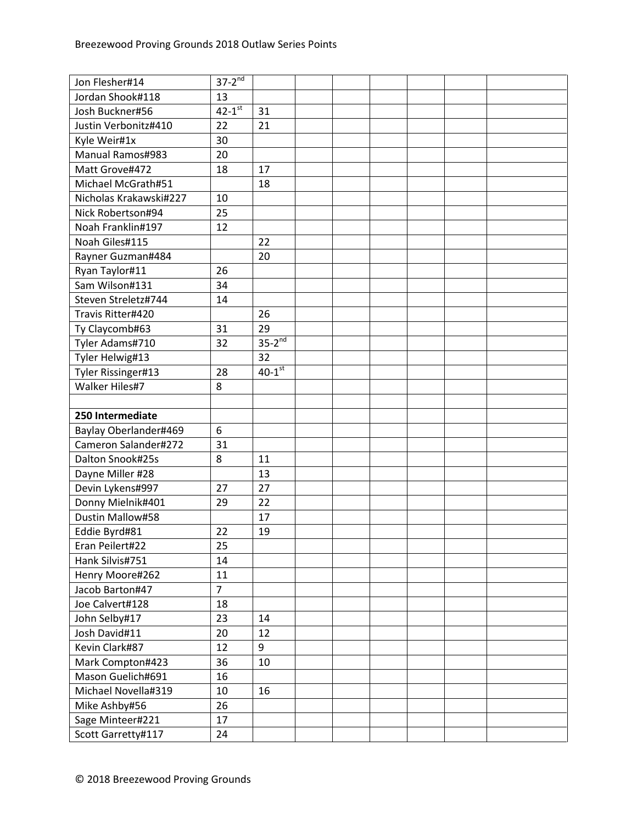| Jon Flesher#14         | $37 - 2^{nd}$        |                      |  |  |  |
|------------------------|----------------------|----------------------|--|--|--|
| Jordan Shook#118       | 13                   |                      |  |  |  |
| Josh Buckner#56        | $42-1$ <sup>st</sup> | 31                   |  |  |  |
| Justin Verbonitz#410   | 22                   | 21                   |  |  |  |
| Kyle Weir#1x           | 30                   |                      |  |  |  |
| Manual Ramos#983       | 20                   |                      |  |  |  |
| Matt Grove#472         | 18                   | 17                   |  |  |  |
| Michael McGrath#51     |                      | 18                   |  |  |  |
| Nicholas Krakawski#227 | 10                   |                      |  |  |  |
| Nick Robertson#94      | 25                   |                      |  |  |  |
| Noah Franklin#197      | 12                   |                      |  |  |  |
| Noah Giles#115         |                      | 22                   |  |  |  |
| Rayner Guzman#484      |                      | 20                   |  |  |  |
| Ryan Taylor#11         | 26                   |                      |  |  |  |
| Sam Wilson#131         | 34                   |                      |  |  |  |
| Steven Streletz#744    | 14                   |                      |  |  |  |
| Travis Ritter#420      |                      | 26                   |  |  |  |
| Ty Claycomb#63         | 31                   | 29                   |  |  |  |
| Tyler Adams#710        | 32                   | $35-2^{nd}$          |  |  |  |
| Tyler Helwig#13        |                      | 32                   |  |  |  |
| Tyler Rissinger#13     | 28                   | $40-1$ <sup>st</sup> |  |  |  |
| Walker Hiles#7         | 8                    |                      |  |  |  |
|                        |                      |                      |  |  |  |
| 250 Intermediate       |                      |                      |  |  |  |
| Baylay Oberlander#469  | 6                    |                      |  |  |  |
| Cameron Salander#272   | 31                   |                      |  |  |  |
| Dalton Snook#25s       | 8                    | 11                   |  |  |  |
| Dayne Miller #28       |                      | 13                   |  |  |  |
| Devin Lykens#997       | 27                   | 27                   |  |  |  |
| Donny Mielnik#401      | 29                   | 22                   |  |  |  |
| Dustin Mallow#58       |                      | 17                   |  |  |  |
| Eddie Byrd#81          | 22                   | 19                   |  |  |  |
| Eran Peilert#22        | 25                   |                      |  |  |  |
| Hank Silvis#751        | 14                   |                      |  |  |  |
| Henry Moore#262        | 11                   |                      |  |  |  |
| Jacob Barton#47        | $\overline{7}$       |                      |  |  |  |
| Joe Calvert#128        | 18                   |                      |  |  |  |
| John Selby#17          | 23                   | 14                   |  |  |  |
| Josh David#11          | 20                   | 12                   |  |  |  |
| Kevin Clark#87         | 12                   | 9                    |  |  |  |
| Mark Compton#423       | 36                   | 10                   |  |  |  |
| Mason Guelich#691      | 16                   |                      |  |  |  |
| Michael Novella#319    | 10                   | 16                   |  |  |  |
| Mike Ashby#56          | 26                   |                      |  |  |  |
| Sage Minteer#221       | 17                   |                      |  |  |  |
| Scott Garretty#117     | 24                   |                      |  |  |  |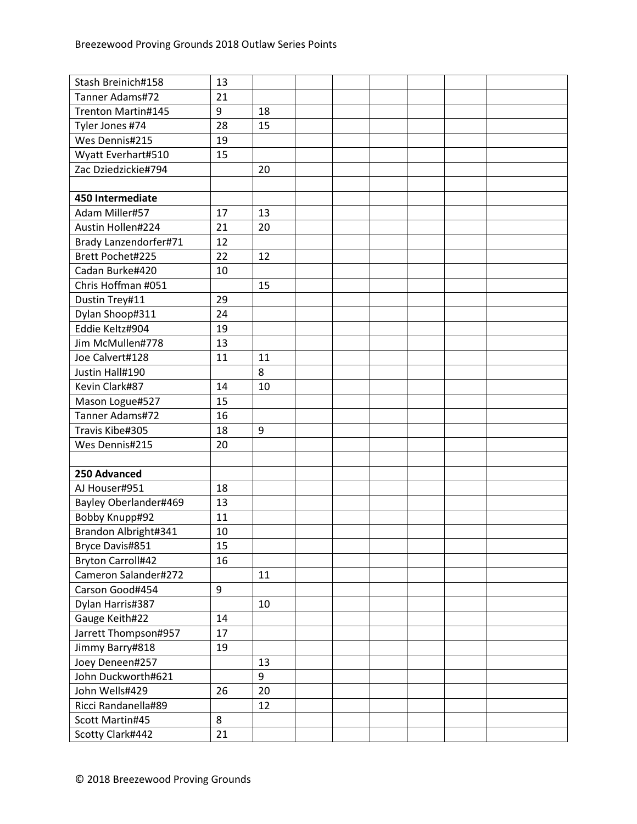| Stash Breinich#158       | 13 |    |  |  |  |
|--------------------------|----|----|--|--|--|
| Tanner Adams#72          | 21 |    |  |  |  |
| Trenton Martin#145       | 9  | 18 |  |  |  |
| Tyler Jones #74          | 28 | 15 |  |  |  |
| Wes Dennis#215           | 19 |    |  |  |  |
| Wyatt Everhart#510       | 15 |    |  |  |  |
| Zac Dziedzickie#794      |    | 20 |  |  |  |
|                          |    |    |  |  |  |
| 450 Intermediate         |    |    |  |  |  |
| Adam Miller#57           | 17 | 13 |  |  |  |
| Austin Hollen#224        | 21 | 20 |  |  |  |
| Brady Lanzendorfer#71    | 12 |    |  |  |  |
| Brett Pochet#225         | 22 | 12 |  |  |  |
| Cadan Burke#420          | 10 |    |  |  |  |
| Chris Hoffman #051       |    | 15 |  |  |  |
| Dustin Trey#11           | 29 |    |  |  |  |
| Dylan Shoop#311          | 24 |    |  |  |  |
| Eddie Keltz#904          | 19 |    |  |  |  |
| Jim McMullen#778         | 13 |    |  |  |  |
| Joe Calvert#128          | 11 | 11 |  |  |  |
| Justin Hall#190          |    | 8  |  |  |  |
| Kevin Clark#87           | 14 | 10 |  |  |  |
| Mason Logue#527          | 15 |    |  |  |  |
| Tanner Adams#72          | 16 |    |  |  |  |
| Travis Kibe#305          | 18 | 9  |  |  |  |
| Wes Dennis#215           | 20 |    |  |  |  |
|                          |    |    |  |  |  |
| 250 Advanced             |    |    |  |  |  |
| AJ Houser#951            | 18 |    |  |  |  |
| Bayley Oberlander#469    | 13 |    |  |  |  |
| Bobby Knupp#92           | 11 |    |  |  |  |
| Brandon Albright#341     | 10 |    |  |  |  |
| Bryce Davis#851          | 15 |    |  |  |  |
| <b>Bryton Carroll#42</b> | 16 |    |  |  |  |
| Cameron Salander#272     |    | 11 |  |  |  |
| Carson Good#454          | 9  |    |  |  |  |
| Dylan Harris#387         |    | 10 |  |  |  |
| Gauge Keith#22           | 14 |    |  |  |  |
| Jarrett Thompson#957     | 17 |    |  |  |  |
| Jimmy Barry#818          | 19 |    |  |  |  |
| Joey Deneen#257          |    | 13 |  |  |  |
| John Duckworth#621       |    | 9  |  |  |  |
| John Wells#429           | 26 | 20 |  |  |  |
| Ricci Randanella#89      |    | 12 |  |  |  |
| Scott Martin#45          | 8  |    |  |  |  |
| Scotty Clark#442         | 21 |    |  |  |  |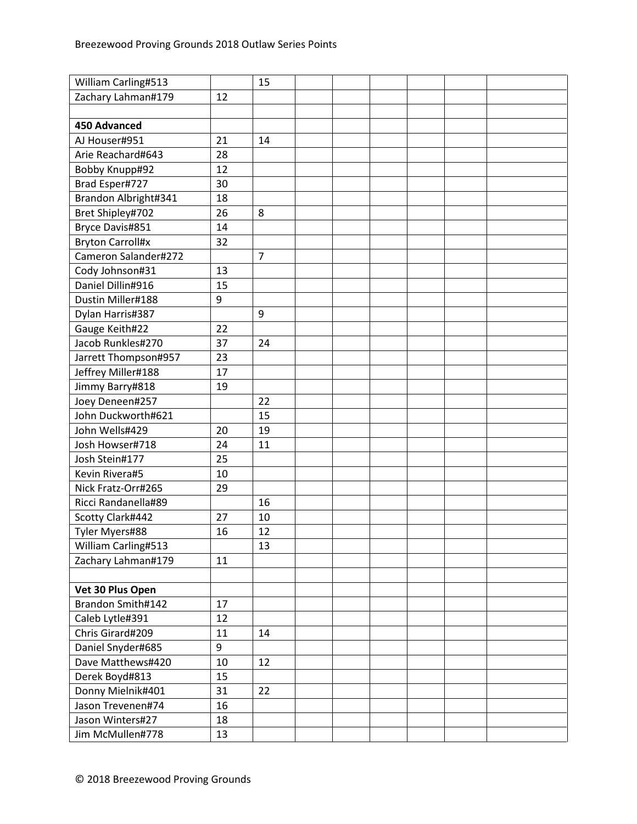| William Carling#513     |    | 15             |  |  |  |
|-------------------------|----|----------------|--|--|--|
| Zachary Lahman#179      | 12 |                |  |  |  |
|                         |    |                |  |  |  |
| <b>450 Advanced</b>     |    |                |  |  |  |
| AJ Houser#951           | 21 | 14             |  |  |  |
| Arie Reachard#643       | 28 |                |  |  |  |
| Bobby Knupp#92          | 12 |                |  |  |  |
| Brad Esper#727          | 30 |                |  |  |  |
| Brandon Albright#341    | 18 |                |  |  |  |
| Bret Shipley#702        | 26 | 8              |  |  |  |
| Bryce Davis#851         | 14 |                |  |  |  |
| <b>Bryton Carroll#x</b> | 32 |                |  |  |  |
| Cameron Salander#272    |    | $\overline{7}$ |  |  |  |
| Cody Johnson#31         | 13 |                |  |  |  |
| Daniel Dillin#916       | 15 |                |  |  |  |
| Dustin Miller#188       | 9  |                |  |  |  |
| Dylan Harris#387        |    | 9              |  |  |  |
| Gauge Keith#22          | 22 |                |  |  |  |
| Jacob Runkles#270       | 37 | 24             |  |  |  |
| Jarrett Thompson#957    | 23 |                |  |  |  |
| Jeffrey Miller#188      | 17 |                |  |  |  |
| Jimmy Barry#818         | 19 |                |  |  |  |
| Joey Deneen#257         |    | 22             |  |  |  |
| John Duckworth#621      |    | 15             |  |  |  |
| John Wells#429          | 20 | 19             |  |  |  |
| Josh Howser#718         | 24 | 11             |  |  |  |
| Josh Stein#177          | 25 |                |  |  |  |
| Kevin Rivera#5          | 10 |                |  |  |  |
| Nick Fratz-Orr#265      | 29 |                |  |  |  |
| Ricci Randanella#89     |    | 16             |  |  |  |
| Scotty Clark#442        | 27 | 10             |  |  |  |
| Tyler Myers#88          | 16 | 12             |  |  |  |
| William Carling#513     |    | 13             |  |  |  |
| Zachary Lahman#179      | 11 |                |  |  |  |
|                         |    |                |  |  |  |
| Vet 30 Plus Open        |    |                |  |  |  |
| Brandon Smith#142       | 17 |                |  |  |  |
| Caleb Lytle#391         | 12 |                |  |  |  |
| Chris Girard#209        | 11 | 14             |  |  |  |
| Daniel Snyder#685       | 9  |                |  |  |  |
| Dave Matthews#420       | 10 | 12             |  |  |  |
| Derek Boyd#813          | 15 |                |  |  |  |
| Donny Mielnik#401       | 31 | 22             |  |  |  |
| Jason Trevenen#74       | 16 |                |  |  |  |
| Jason Winters#27        | 18 |                |  |  |  |
| Jim McMullen#778        | 13 |                |  |  |  |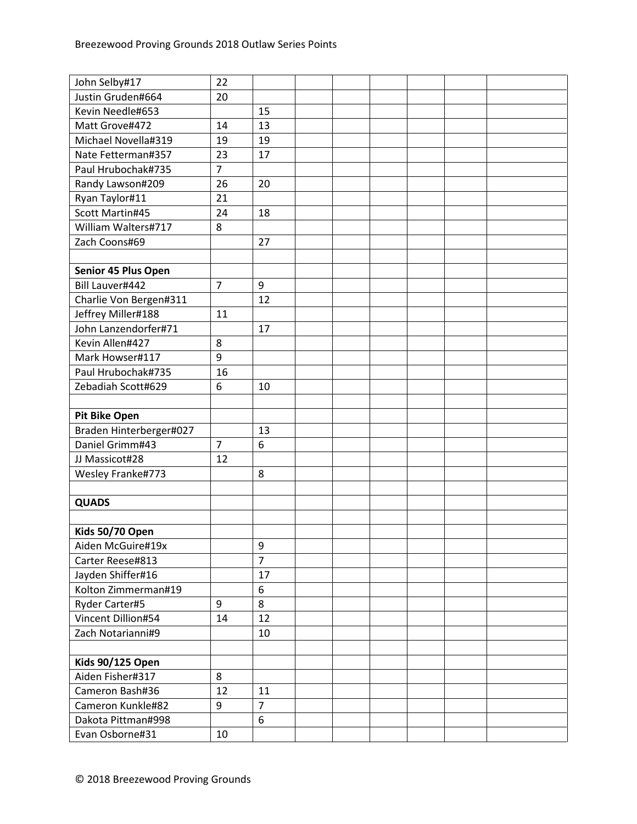| John Selby#17           | 22             |                  |  |  |  |
|-------------------------|----------------|------------------|--|--|--|
| Justin Gruden#664       | 20             |                  |  |  |  |
| Kevin Needle#653        |                | 15               |  |  |  |
| Matt Grove#472          | 14             | 13               |  |  |  |
| Michael Novella#319     | 19             | 19               |  |  |  |
| Nate Fetterman#357      | 23             | 17               |  |  |  |
| Paul Hrubochak#735      | $\overline{7}$ |                  |  |  |  |
| Randy Lawson#209        | 26             | 20               |  |  |  |
| Ryan Taylor#11          | 21             |                  |  |  |  |
| Scott Martin#45         | 24             | 18               |  |  |  |
| William Walters#717     | 8              |                  |  |  |  |
| Zach Coons#69           |                | 27               |  |  |  |
|                         |                |                  |  |  |  |
| Senior 45 Plus Open     |                |                  |  |  |  |
| Bill Lauver#442         | $\overline{7}$ | 9                |  |  |  |
| Charlie Von Bergen#311  |                | 12               |  |  |  |
| Jeffrey Miller#188      | 11             |                  |  |  |  |
| John Lanzendorfer#71    |                | 17               |  |  |  |
| Kevin Allen#427         | 8              |                  |  |  |  |
| Mark Howser#117         | 9              |                  |  |  |  |
| Paul Hrubochak#735      | 16             |                  |  |  |  |
| Zebadiah Scott#629      | 6              | 10               |  |  |  |
|                         |                |                  |  |  |  |
| <b>Pit Bike Open</b>    |                |                  |  |  |  |
| Braden Hinterberger#027 |                | 13               |  |  |  |
| Daniel Grimm#43         | $\overline{7}$ | 6                |  |  |  |
| JJ Massicot#28          | 12             |                  |  |  |  |
| Wesley Franke#773       |                | 8                |  |  |  |
|                         |                |                  |  |  |  |
| <b>QUADS</b>            |                |                  |  |  |  |
|                         |                |                  |  |  |  |
| Kids 50/70 Open         |                |                  |  |  |  |
| Aiden McGuire#19x       |                | $\boldsymbol{9}$ |  |  |  |
| Carter Reese#813        |                | $\overline{7}$   |  |  |  |
| Jayden Shiffer#16       |                | 17               |  |  |  |
| Kolton Zimmerman#19     |                | 6                |  |  |  |
| Ryder Carter#5          | 9              | 8                |  |  |  |
| Vincent Dillion#54      | 14             | 12               |  |  |  |
| Zach Notarianni#9       |                | 10               |  |  |  |
|                         |                |                  |  |  |  |
| <b>Kids 90/125 Open</b> |                |                  |  |  |  |
| Aiden Fisher#317        | 8              |                  |  |  |  |
| Cameron Bash#36         | 12             | 11               |  |  |  |
| Cameron Kunkle#82       | 9              | $\overline{7}$   |  |  |  |
| Dakota Pittman#998      |                | $6\phantom{1}$   |  |  |  |
| Evan Osborne#31         | 10             |                  |  |  |  |
|                         |                |                  |  |  |  |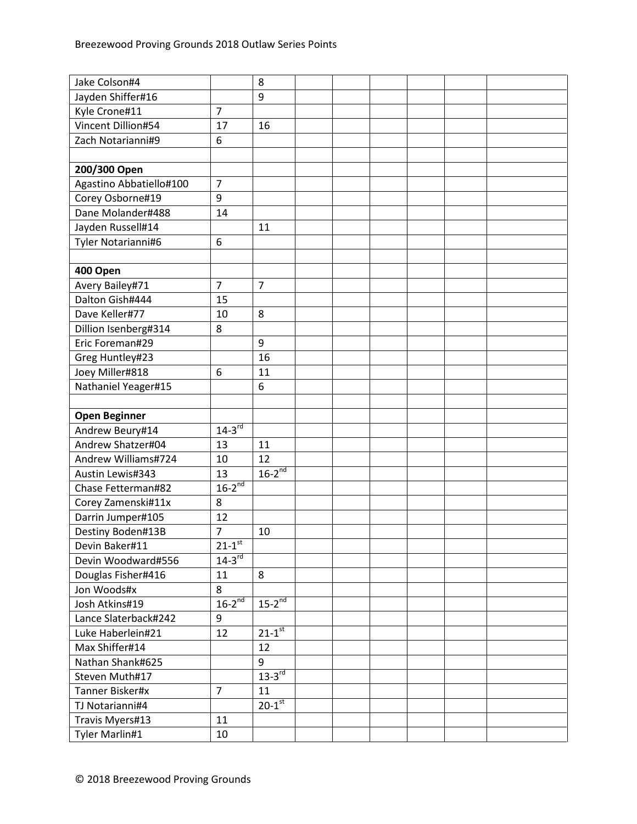| Jake Colson#4           |                        | 8                      |  |  |  |
|-------------------------|------------------------|------------------------|--|--|--|
| Jayden Shiffer#16       |                        | 9                      |  |  |  |
| Kyle Crone#11           | $\overline{7}$         |                        |  |  |  |
| Vincent Dillion#54      | 17                     | 16                     |  |  |  |
| Zach Notarianni#9       | 6                      |                        |  |  |  |
|                         |                        |                        |  |  |  |
| 200/300 Open            |                        |                        |  |  |  |
| Agastino Abbatiello#100 | $\overline{7}$         |                        |  |  |  |
| Corey Osborne#19        | 9                      |                        |  |  |  |
| Dane Molander#488       | 14                     |                        |  |  |  |
| Jayden Russell#14       |                        | 11                     |  |  |  |
| Tyler Notarianni#6      | 6                      |                        |  |  |  |
|                         |                        |                        |  |  |  |
| 400 Open                |                        |                        |  |  |  |
| Avery Bailey#71         | $\overline{7}$         | $\overline{7}$         |  |  |  |
| Dalton Gish#444         | 15                     |                        |  |  |  |
| Dave Keller#77          | 10                     | 8                      |  |  |  |
| Dillion Isenberg#314    | 8                      |                        |  |  |  |
| Eric Foreman#29         |                        | 9                      |  |  |  |
| Greg Huntley#23         |                        | 16                     |  |  |  |
| Joey Miller#818         | 6                      | 11                     |  |  |  |
| Nathaniel Yeager#15     |                        | 6                      |  |  |  |
|                         |                        |                        |  |  |  |
| <b>Open Beginner</b>    |                        |                        |  |  |  |
| Andrew Beury#14         | $14-3^{rd}$            |                        |  |  |  |
| Andrew Shatzer#04       | 13                     | 11                     |  |  |  |
| Andrew Williams#724     | 10                     | 12                     |  |  |  |
| Austin Lewis#343        | 13                     | $16-2^{nd}$            |  |  |  |
| Chase Fetterman#82      | $16-2^{nd}$            |                        |  |  |  |
| Corey Zamenski#11x      | 8                      |                        |  |  |  |
| Darrin Jumper#105       | 12                     |                        |  |  |  |
| Destiny Boden#13B       | $\overline{7}$         | 10                     |  |  |  |
| Devin Baker#11          | $21 - 1$ <sup>st</sup> |                        |  |  |  |
| Devin Woodward#556      | $14-3^{rd}$            |                        |  |  |  |
| Douglas Fisher#416      | 11                     | 8                      |  |  |  |
| Jon Woods#x             | 8                      |                        |  |  |  |
| Josh Atkins#19          | $16-2^{nd}$            | $15-2^{nd}$            |  |  |  |
| Lance Slaterback#242    | 9                      |                        |  |  |  |
| Luke Haberlein#21       | 12                     | $21 - 1$ <sup>st</sup> |  |  |  |
| Max Shiffer#14          |                        | 12                     |  |  |  |
| Nathan Shank#625        |                        | 9                      |  |  |  |
| Steven Muth#17          |                        | $13-3^{rd}$            |  |  |  |
|                         |                        |                        |  |  |  |
| Tanner Bisker#x         | $\overline{7}$         | 11                     |  |  |  |
| TJ Notarianni#4         |                        | $20-1$ <sup>st</sup>   |  |  |  |
| Travis Myers#13         | 11                     |                        |  |  |  |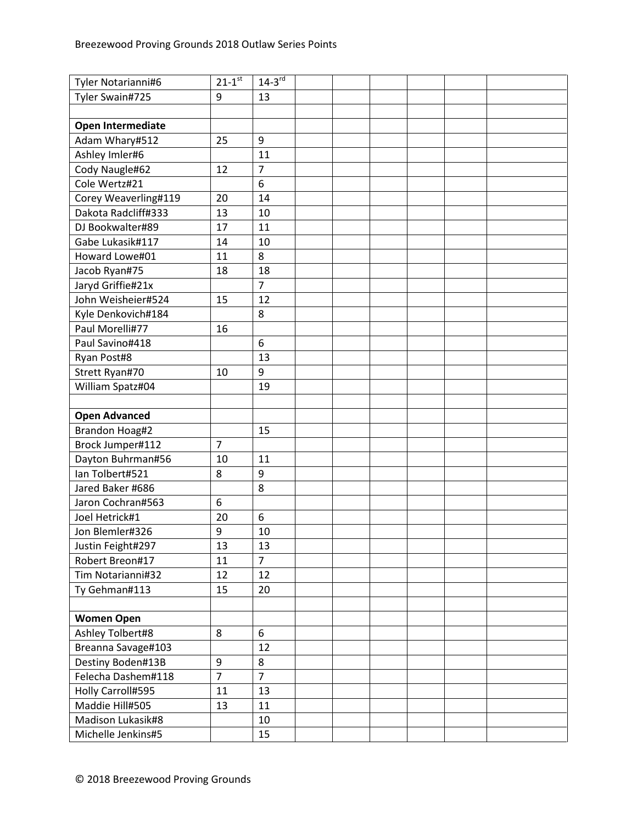| Tyler Notarianni#6   | $21 - 1$ <sup>st</sup> | $14-3^{rd}$    |  |  |  |
|----------------------|------------------------|----------------|--|--|--|
| Tyler Swain#725      | 9                      | 13             |  |  |  |
|                      |                        |                |  |  |  |
| Open Intermediate    |                        |                |  |  |  |
| Adam Whary#512       | 25                     | 9              |  |  |  |
| Ashley Imler#6       |                        | 11             |  |  |  |
| Cody Naugle#62       | 12                     | $\overline{7}$ |  |  |  |
| Cole Wertz#21        |                        | 6              |  |  |  |
| Corey Weaverling#119 | 20                     | 14             |  |  |  |
| Dakota Radcliff#333  | 13                     | 10             |  |  |  |
| DJ Bookwalter#89     | 17                     | 11             |  |  |  |
| Gabe Lukasik#117     | 14                     | 10             |  |  |  |
| Howard Lowe#01       | 11                     | 8              |  |  |  |
| Jacob Ryan#75        | 18                     | 18             |  |  |  |
| Jaryd Griffie#21x    |                        | $\overline{7}$ |  |  |  |
| John Weisheier#524   | 15                     | 12             |  |  |  |
| Kyle Denkovich#184   |                        | 8              |  |  |  |
| Paul Morelli#77      | 16                     |                |  |  |  |
| Paul Savino#418      |                        | 6              |  |  |  |
| Ryan Post#8          |                        | 13             |  |  |  |
| Strett Ryan#70       | 10                     | 9              |  |  |  |
| William Spatz#04     |                        | 19             |  |  |  |
|                      |                        |                |  |  |  |
| <b>Open Advanced</b> |                        |                |  |  |  |
| Brandon Hoag#2       |                        | 15             |  |  |  |
| Brock Jumper#112     | $\overline{7}$         |                |  |  |  |
| Dayton Buhrman#56    | 10                     | 11             |  |  |  |
| Ian Tolbert#521      | 8                      | 9              |  |  |  |
| Jared Baker #686     |                        | 8              |  |  |  |
| Jaron Cochran#563    | 6                      |                |  |  |  |
| Joel Hetrick#1       | 20                     | 6              |  |  |  |
| Jon Blemler#326      | 9                      | 10             |  |  |  |
| Justin Feight#297    | 13                     | 13             |  |  |  |
| Robert Breon#17      | 11                     | $\overline{7}$ |  |  |  |
| Tim Notarianni#32    | 12                     | 12             |  |  |  |
| Ty Gehman#113        | 15                     | 20             |  |  |  |
|                      |                        |                |  |  |  |
| <b>Women Open</b>    |                        |                |  |  |  |
| Ashley Tolbert#8     | 8                      | 6              |  |  |  |
| Breanna Savage#103   |                        | 12             |  |  |  |
| Destiny Boden#13B    | 9                      | 8              |  |  |  |
| Felecha Dashem#118   | $\overline{7}$         | $\overline{7}$ |  |  |  |
| Holly Carroll#595    | 11                     | 13             |  |  |  |
| Maddie Hill#505      | 13                     | 11             |  |  |  |
| Madison Lukasik#8    |                        | 10             |  |  |  |
| Michelle Jenkins#5   |                        | 15             |  |  |  |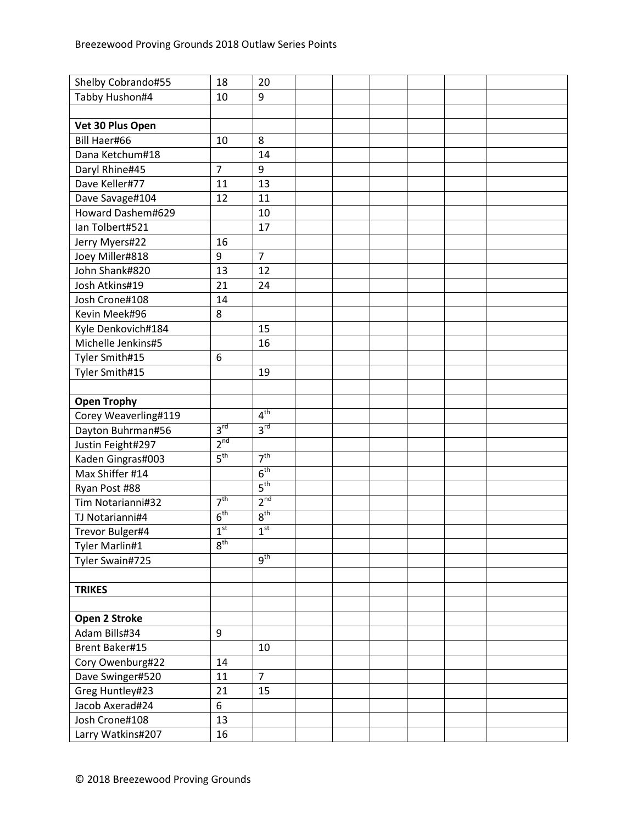| Shelby Cobrando#55   | 18              | 20              |  |  |  |
|----------------------|-----------------|-----------------|--|--|--|
| Tabby Hushon#4       | 10              | 9               |  |  |  |
|                      |                 |                 |  |  |  |
| Vet 30 Plus Open     |                 |                 |  |  |  |
| Bill Haer#66         | 10              | 8               |  |  |  |
| Dana Ketchum#18      |                 | 14              |  |  |  |
| Daryl Rhine#45       | $\overline{7}$  | 9               |  |  |  |
| Dave Keller#77       | 11              | 13              |  |  |  |
| Dave Savage#104      | 12              | 11              |  |  |  |
| Howard Dashem#629    |                 | 10              |  |  |  |
| Ian Tolbert#521      |                 | 17              |  |  |  |
| Jerry Myers#22       | 16              |                 |  |  |  |
| Joey Miller#818      | 9               | $\overline{7}$  |  |  |  |
| John Shank#820       | 13              | 12              |  |  |  |
| Josh Atkins#19       | 21              | 24              |  |  |  |
| Josh Crone#108       | 14              |                 |  |  |  |
| Kevin Meek#96        | 8               |                 |  |  |  |
| Kyle Denkovich#184   |                 | 15              |  |  |  |
| Michelle Jenkins#5   |                 | 16              |  |  |  |
| Tyler Smith#15       | 6               |                 |  |  |  |
| Tyler Smith#15       |                 | 19              |  |  |  |
|                      |                 |                 |  |  |  |
| <b>Open Trophy</b>   |                 |                 |  |  |  |
| Corey Weaverling#119 |                 | 4 <sup>th</sup> |  |  |  |
| Dayton Buhrman#56    | 3 <sup>rd</sup> | 3 <sup>rd</sup> |  |  |  |
| Justin Feight#297    | 2 <sup>nd</sup> |                 |  |  |  |
| Kaden Gingras#003    | 5 <sup>th</sup> | 7 <sup>th</sup> |  |  |  |
| Max Shiffer #14      |                 | 6 <sup>th</sup> |  |  |  |
| Ryan Post #88        |                 | 5 <sup>th</sup> |  |  |  |
| Tim Notarianni#32    | 7 <sup>th</sup> | $2^{nd}$        |  |  |  |
| TJ Notarianni#4      | 6 <sup>th</sup> | 8 <sup>th</sup> |  |  |  |
| Trevor Bulger#4      | 1 <sup>st</sup> | 1 <sup>st</sup> |  |  |  |
| Tyler Marlin#1       | $8^{\rm th}$    |                 |  |  |  |
| Tyler Swain#725      |                 | 9 <sup>th</sup> |  |  |  |
|                      |                 |                 |  |  |  |
| <b>TRIKES</b>        |                 |                 |  |  |  |
|                      |                 |                 |  |  |  |
| Open 2 Stroke        |                 |                 |  |  |  |
| Adam Bills#34        | 9               |                 |  |  |  |
| Brent Baker#15       |                 | 10              |  |  |  |
| Cory Owenburg#22     | 14              |                 |  |  |  |
| Dave Swinger#520     | 11              | $\overline{7}$  |  |  |  |
| Greg Huntley#23      | 21              | 15              |  |  |  |
| Jacob Axerad#24      | 6               |                 |  |  |  |
| Josh Crone#108       | 13              |                 |  |  |  |
| Larry Watkins#207    | 16              |                 |  |  |  |
|                      |                 |                 |  |  |  |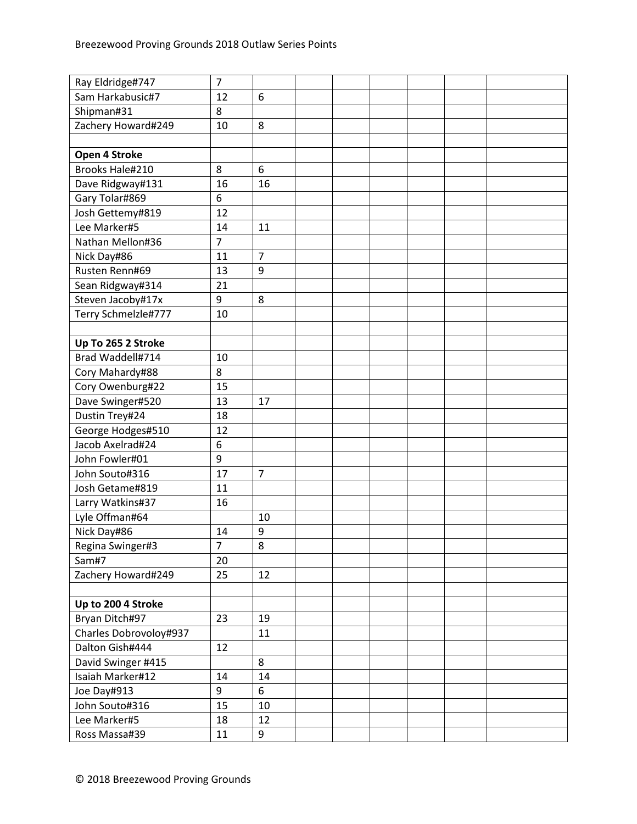| Ray Eldridge#747       | $\overline{7}$ |                |  |  |  |
|------------------------|----------------|----------------|--|--|--|
| Sam Harkabusic#7       | 12             | 6              |  |  |  |
| Shipman#31             | 8              |                |  |  |  |
| Zachery Howard#249     | 10             | 8              |  |  |  |
|                        |                |                |  |  |  |
| Open 4 Stroke          |                |                |  |  |  |
| Brooks Hale#210        | 8              | 6              |  |  |  |
| Dave Ridgway#131       | 16             | 16             |  |  |  |
| Gary Tolar#869         | 6              |                |  |  |  |
| Josh Gettemy#819       | 12             |                |  |  |  |
| Lee Marker#5           | 14             | 11             |  |  |  |
| Nathan Mellon#36       | $\overline{7}$ |                |  |  |  |
| Nick Day#86            | 11             | $\overline{7}$ |  |  |  |
| Rusten Renn#69         | 13             | 9              |  |  |  |
| Sean Ridgway#314       | 21             |                |  |  |  |
| Steven Jacoby#17x      | 9              | 8              |  |  |  |
| Terry Schmelzle#777    | 10             |                |  |  |  |
|                        |                |                |  |  |  |
| Up To 265 2 Stroke     |                |                |  |  |  |
| Brad Waddell#714       | 10             |                |  |  |  |
| Cory Mahardy#88        | 8              |                |  |  |  |
| Cory Owenburg#22       | 15             |                |  |  |  |
| Dave Swinger#520       | 13             | 17             |  |  |  |
| Dustin Trey#24         | 18             |                |  |  |  |
| George Hodges#510      | 12             |                |  |  |  |
| Jacob Axelrad#24       | 6              |                |  |  |  |
| John Fowler#01         | 9              |                |  |  |  |
| John Souto#316         | 17             | $\overline{7}$ |  |  |  |
| Josh Getame#819        | 11             |                |  |  |  |
| Larry Watkins#37       | 16             |                |  |  |  |
| Lyle Offman#64         |                | 10             |  |  |  |
| Nick Day#86            | 14             | 9              |  |  |  |
| Regina Swinger#3       | $\overline{7}$ | 8              |  |  |  |
| Sam#7                  | 20             |                |  |  |  |
| Zachery Howard#249     | 25             | 12             |  |  |  |
|                        |                |                |  |  |  |
| Up to 200 4 Stroke     |                |                |  |  |  |
| Bryan Ditch#97         | 23             | 19             |  |  |  |
| Charles Dobrovoloy#937 |                | 11             |  |  |  |
| Dalton Gish#444        | 12             |                |  |  |  |
| David Swinger #415     |                | 8              |  |  |  |
| Isaiah Marker#12       | 14             | 14             |  |  |  |
| Joe Day#913            | 9              | 6              |  |  |  |
| John Souto#316         | 15             | 10             |  |  |  |
| Lee Marker#5           | 18             | 12             |  |  |  |
| Ross Massa#39          | 11             | 9              |  |  |  |